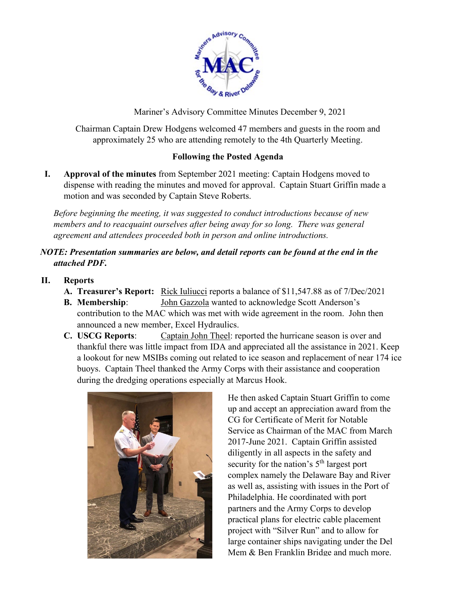

Mariner's Advisory Committee Minutes December 9, 2021

Chairman Captain Drew Hodgens welcomed 47 members and guests in the room and approximately 25 who are attending remotely to the 4th Quarterly Meeting.

## **Following the Posted Agenda**

**I. Approval of the minutes** from September 2021 meeting: Captain Hodgens moved to dispense with reading the minutes and moved for approval. Captain Stuart Griffin made a motion and was seconded by Captain Steve Roberts.

*Before beginning the meeting, it was suggested to conduct introductions because of new members and to reacquaint ourselves after being away for so long. There was general agreement and attendees proceeded both in person and online introductions.* 

## *NOTE: Presentation summaries are below, and detail reports can be found at the end in the attached PDF.*

## **II. Reports**

- **A. Treasurer's Report:** Rick Iuliucci reports a balance of \$11,547.88 as of 7/Dec/2021
- **B. Membership**: John Gazzola wanted to acknowledge Scott Anderson's contribution to the MAC which was met with wide agreement in the room. John then announced a new member, Excel Hydraulics.
- **C. USCG Reports**: Captain John Theel: reported the hurricane season is over and thankful there was little impact from IDA and appreciated all the assistance in 2021. Keep a lookout for new MSIBs coming out related to ice season and replacement of near 174 ice buoys. Captain Theel thanked the Army Corps with their assistance and cooperation during the dredging operations especially at Marcus Hook.



He then asked Captain Stuart Griffin to come up and accept an appreciation award from the CG for Certificate of Merit for Notable Service as Chairman of the MAC from March 2017-June 2021. Captain Griffin assisted diligently in all aspects in the safety and security for the nation's  $5<sup>th</sup>$  largest port complex namely the Delaware Bay and River as well as, assisting with issues in the Port of Philadelphia. He coordinated with port partners and the Army Corps to develop practical plans for electric cable placement project with "Silver Run" and to allow for large container ships navigating under the Del Mem & Ben Franklin Bridge and much more.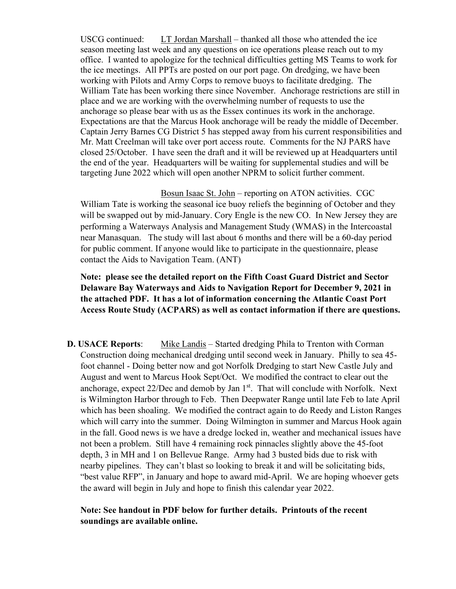USCG continued: LT Jordan Marshall – thanked all those who attended the ice season meeting last week and any questions on ice operations please reach out to my office. I wanted to apologize for the technical difficulties getting MS Teams to work for the ice meetings. All PPTs are posted on our port page. On dredging, we have been working with Pilots and Army Corps to remove buoys to facilitate dredging. The William Tate has been working there since November. Anchorage restrictions are still in place and we are working with the overwhelming number of requests to use the anchorage so please bear with us as the Essex continues its work in the anchorage. Expectations are that the Marcus Hook anchorage will be ready the middle of December. Captain Jerry Barnes CG District 5 has stepped away from his current responsibilities and Mr. Matt Creelman will take over port access route. Comments for the NJ PARS have closed 25/October. I have seen the draft and it will be reviewed up at Headquarters until the end of the year. Headquarters will be waiting for supplemental studies and will be targeting June 2022 which will open another NPRM to solicit further comment.

Bosun Isaac St. John – reporting on ATON activities. CGC William Tate is working the seasonal ice buoy reliefs the beginning of October and they will be swapped out by mid-January. Cory Engle is the new CO. In New Jersey they are performing a Waterways Analysis and Management Study (WMAS) in the Intercoastal near Manasquan. The study will last about 6 months and there will be a 60-day period for public comment. If anyone would like to participate in the questionnaire, please contact the Aids to Navigation Team. (ANT)

**Note: please see the detailed report on the Fifth Coast Guard District and Sector Delaware Bay Waterways and Aids to Navigation Report for December 9, 2021 in the attached PDF. It has a lot of information concerning the Atlantic Coast Port Access Route Study (ACPARS) as well as contact information if there are questions.**

**D. USACE Reports**: Mike Landis – Started dredging Phila to Trenton with Corman Construction doing mechanical dredging until second week in January. Philly to sea 45 foot channel - Doing better now and got Norfolk Dredging to start New Castle July and August and went to Marcus Hook Sept/Oct. We modified the contract to clear out the anchorage, expect  $22/\text{Dec}$  and demob by Jan  $1^{st}$ . That will conclude with Norfolk. Next is Wilmington Harbor through to Feb. Then Deepwater Range until late Feb to late April which has been shoaling. We modified the contract again to do Reedy and Liston Ranges which will carry into the summer. Doing Wilmington in summer and Marcus Hook again in the fall. Good news is we have a dredge locked in, weather and mechanical issues have not been a problem. Still have 4 remaining rock pinnacles slightly above the 45-foot depth, 3 in MH and 1 on Bellevue Range. Army had 3 busted bids due to risk with nearby pipelines. They can't blast so looking to break it and will be solicitating bids, "best value RFP", in January and hope to award mid-April. We are hoping whoever gets the award will begin in July and hope to finish this calendar year 2022.

**Note: See handout in PDF below for further details. Printouts of the recent soundings are available online.**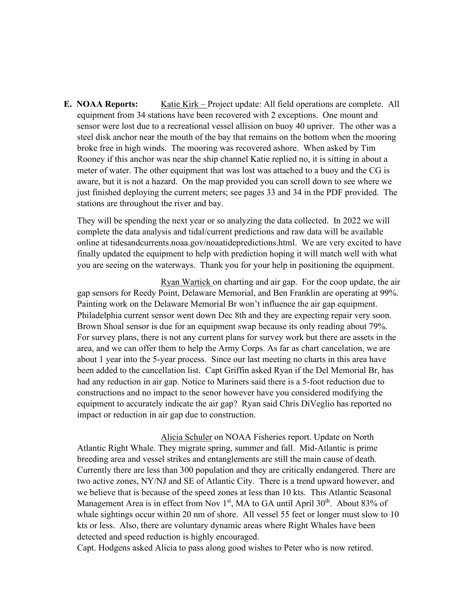**E. NOAA Reports:** Katie Kirk – Project update: All field operations are complete. All equipment from 34 stations have been recovered with 2 exceptions. One mount and sensor were lost due to a recreational vessel allision on buoy 40 upriver. The other was a steel disk anchor near the mouth of the bay that remains on the bottom when the mooring broke free in high winds. The mooring was recovered ashore. When asked by Tim Rooney if this anchor was near the ship channel Katie replied no, it is sitting in about a meter of water. The other equipment that was lost was attached to a buoy and the CG is aware, but it is not a hazard. On the map provided you can scroll down to see where we just finished deploying the current meters; see pages 33 and 34 in the PDF provided. The stations are throughout the river and bay.

They will be spending the next year or so analyzing the data collected. In 2022 we will complete the data analysis and tidal/current predictions and raw data will be available online at tidesandcurrents.noaa.gov/noaatidepredictions.html. We are very excited to have finally updated the equipment to help with prediction hoping it will match well with what you are seeing on the waterways. Thank you for your help in positioning the equipment.

Ryan Wartick on charting and air gap. For the coop update, the air gap sensors for Reedy Point, Delaware Memorial, and Ben Franklin are operating at 99%. Painting work on the Delaware Memorial Br won't influence the air gap equipment. Philadelphia current sensor went down Dec 8th and they are expecting repair very soon. Brown Shoal sensor is due for an equipment swap because its only reading about 79%. For survey plans, there is not any current plans for survey work but there are assets in the area, and we can offer them to help the Army Corps. As far as chart cancelation, we are about 1 year into the 5-year process. Since our last meeting no charts in this area have been added to the cancellation list. Capt Griffin asked Ryan if the Del Memorial Br, has had any reduction in air gap. Notice to Mariners said there is a 5-foot reduction due to constructions and no impact to the senor however have you considered modifying the equipment to accurately indicate the air gap? Ryan said Chris DiVeglio has reported no impact or reduction in air gap due to construction.

Alicia Schuler on NOAA Fisheries report. Update on North Atlantic Right Whale. They migrate spring, summer and fall. Mid-Atlantic is prime breeding area and vessel strikes and entanglements are still the main cause of death. Currently there are less than 300 population and they are critically endangered. There are two active zones, NY/NJ and SE of Atlantic City. There is a trend upward however, and we believe that is because of the speed zones at less than 10 kts. This Atlantic Seasonal Management Area is in effect from Nov  $1<sup>st</sup>$ , MA to GA until April  $30<sup>th</sup>$ . About 83% of whale sightings occur within 20 nm of shore. All vessel 55 feet or longer must slow to 10 kts or less. Also, there are voluntary dynamic areas where Right Whales have been detected and speed reduction is highly encouraged.

Capt. Hodgens asked Alicia to pass along good wishes to Peter who is now retired.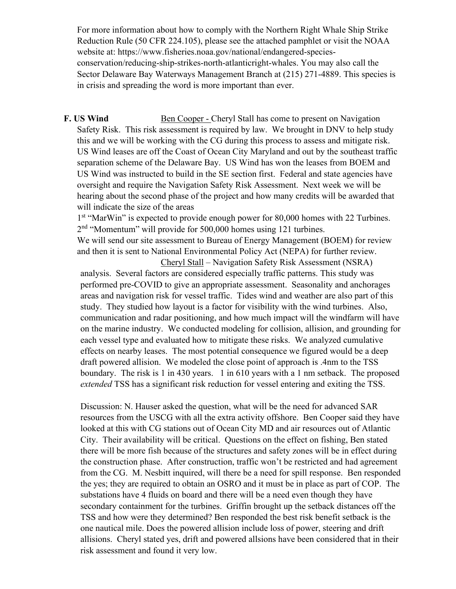For more information about how to comply with the Northern Right Whale Ship Strike Reduction Rule (50 CFR 224.105), please see the attached pamphlet or visit the NOAA website at: https://www.fisheries.noaa.gov/national/endangered-speciesconservation/reducing-ship-strikes-north-atlanticright-whales. You may also call the Sector Delaware Bay Waterways Management Branch at (215) 271-4889. This species is in crisis and spreading the word is more important than ever.

**F. US Wind** Ben Cooper - Cheryl Stall has come to present on Navigation Safety Risk. This risk assessment is required by law. We brought in DNV to help study this and we will be working with the CG during this process to assess and mitigate risk. US Wind leases are off the Coast of Ocean City Maryland and out by the southeast traffic separation scheme of the Delaware Bay. US Wind has won the leases from BOEM and US Wind was instructed to build in the SE section first. Federal and state agencies have oversight and require the Navigation Safety Risk Assessment. Next week we will be hearing about the second phase of the project and how many credits will be awarded that will indicate the size of the areas

1<sup>st</sup> "MarWin" is expected to provide enough power for 80,000 homes with 22 Turbines. 2<sup>nd</sup> "Momentum" will provide for 500,000 homes using 121 turbines.

We will send our site assessment to Bureau of Energy Management (BOEM) for review and then it is sent to National Environmental Policy Act (NEPA) for further review.

Cheryl Stall – Navigation Safety Risk Assessment (NSRA) analysis. Several factors are considered especially traffic patterns. This study was performed pre-COVID to give an appropriate assessment. Seasonality and anchorages areas and navigation risk for vessel traffic. Tides wind and weather are also part of this study. They studied how layout is a factor for visibility with the wind turbines. Also, communication and radar positioning, and how much impact will the windfarm will have on the marine industry. We conducted modeling for collision, allision, and grounding for each vessel type and evaluated how to mitigate these risks. We analyzed cumulative effects on nearby leases. The most potential consequence we figured would be a deep draft powered allision. We modeled the close point of approach is .4nm to the TSS boundary. The risk is 1 in 430 years. 1 in 610 years with a 1 nm setback. The proposed *extended* TSS has a significant risk reduction for vessel entering and exiting the TSS.

Discussion: N. Hauser asked the question, what will be the need for advanced SAR resources from the USCG with all the extra activity offshore. Ben Cooper said they have looked at this with CG stations out of Ocean City MD and air resources out of Atlantic City. Their availability will be critical. Questions on the effect on fishing, Ben stated there will be more fish because of the structures and safety zones will be in effect during the construction phase. After construction, traffic won't be restricted and had agreement from the CG. M. Nesbitt inquired, will there be a need for spill response. Ben responded the yes; they are required to obtain an OSRO and it must be in place as part of COP. The substations have 4 fluids on board and there will be a need even though they have secondary containment for the turbines. Griffin brought up the setback distances off the TSS and how were they determined? Ben responded the best risk benefit setback is the one nautical mile. Does the powered allision include loss of power, steering and drift allisions. Cheryl stated yes, drift and powered allsions have been considered that in their risk assessment and found it very low.